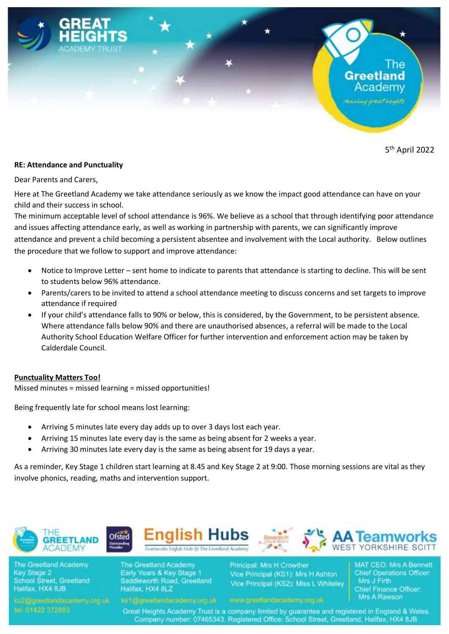

5 th April 2022

## **RE: Attendance and Punctuality**

Dear Parents and Carers,

Here at The Greetland Academy we take attendance seriously as we know the impact good attendance can have on your child and their success in school.

The minimum acceptable level of school attendance is 96%. We believe as a school that through identifying poor attendance and issues affecting attendance early, as well as working in partnership with parents, we can significantly improve attendance and prevent a child becoming a persistent absentee and involvement with the Local authority. Below outlines the procedure that we follow to support and improve attendance:

- Notice to Improve Letter sent home to indicate to parents that attendance is starting to decline. This will be sent to students below 96% attendance.
- Parents/carers to be invited to attend a school attendance meeting to discuss concerns and set targets to improve attendance if required
- If your child's attendance falls to 90% or below, this is considered, by the Government, to be persistent absence. Where attendance falls below 90% and there are unauthorised absences, a referral will be made to the Local Authority School Education Welfare Officer for further intervention and enforcement action may be taken by Calderdale Council.

## **Punctuality Matters Too!**

Missed minutes = missed learning = missed opportunities!

Being frequently late for school means lost learning:

- Arriving 5 minutes late every day adds up to over 3 days lost each year.
- Arriving 15 minutes late every day is the same as being absent for 2 weeks a year.
- Arriving 30 minutes late every day is the same as being absent for 19 days a year.

As a reminder, Key Stage 1 children start learning at 8.45 and Key Stage 2 at 9:00. Those morning sessions are vital as they involve phonics, reading, maths and intervention support.

Enalish Hubs

vorks English Hub @ The Greetland Academy



The Greetland Academy **Key Stage 2 School Street, Greetland** Halifax, HX4 8JB

The Greetland Academy Early Years & Key Stage 1 Saddleworth Road, Greetland Halifax, HX4 8LZ

Principal: Mrs H Crowther Vice Principal (KS1): Mrs H Ashton Vice Principal (KS2): Miss L Whiteley

www.greatlandacademy.org.uk

**MAT CEO: Mrs A Bennett Chief Operations Officer:** Mrs J Firth Chief Finance Officer: Mrs A Rawson

Great Heights Academy Trust is a company limited by quarantee and registered in England & Wales. Company number: 07465343. Registered Office: School Street, Greetland, Halifax, HX4 8JB